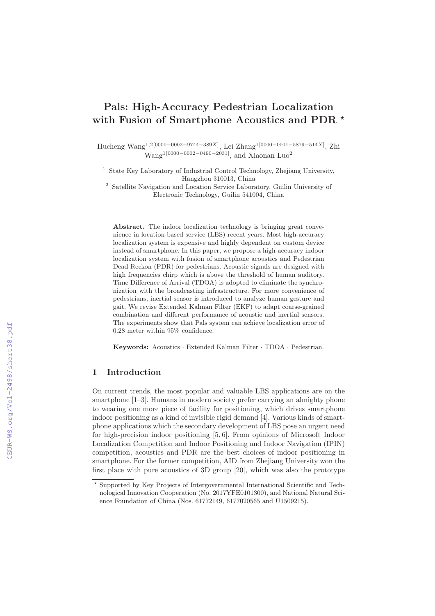# **Pals: High-Accuracy Pedestrian Localization with Fusion of Smartphone Acoustics and PDR** *-*

Hucheng Wang1,2[0000−0002−9744−389X] , Lei Zhang1[0000−0001−5879−514X] , Zhi  $Wang<sup>1</sup>[0000-0002-0490-2031]$ , and Xiaonan Luo<sup>2</sup>

<sup>1</sup> State Key Laboratory of Industrial Control Technology, Zheijang University, Hangzhou 310013, China

<sup>2</sup> Satellite Navigation and Location Service Laboratory, Guilin University of Electronic Technology, Guilin 541004, China

**Abstract.** The indoor localization technology is bringing great convenience in location-based service (LBS) recent years. Most high-accuracy localization system is expensive and highly dependent on custom device instead of smartphone. In this paper, we propose a high-accuracy indoor localization system with fusion of smartphone acoustics and Pedestrian Dead Reckon (PDR) for pedestrians. Acoustic signals are designed with high frequencies chirp which is above the threshold of human auditory. Time Difference of Arrival (TDOA) is adopted to eliminate the synchronization with the broadcasting infrastructure. For more convenience of pedestrians, inertial sensor is introduced to analyze human gesture and gait. We revise Extended Kalman Filter (EKF) to adapt coarse-grained combination and different performance of acoustic and inertial sensors. The experiments show that Pals system can achieve localization error of 0.28 meter within 95% confidence.

**Keywords:** Acoustics · Extended Kalman Filter · TDOA · Pedestrian.

# **1 Introduction**

On current trends, the most popular and valuable LBS applications are on the smartphone [1–3]. Humans in modern society prefer carrying an almighty phone to wearing one more piece of facility for positioning, which drives smartphone indoor positioning as a kind of invisible rigid demand [4]. Various kinds of smartphone applications which the secondary development of LBS pose an urgent need for high-precision indoor positioning [5, 6]. From opinions of Microsoft Indoor Localization Competition and Indoor Positioning and Indoor Navigation (IPIN) competition, acoustics and PDR are the best choices of indoor positioning in smartphone. For the former competition, AID from Zhejiang University won the first place with pure acoustics of 3D group [20], which was also the prototype

<sup>-</sup> Supported by Key Projects of Intergovernmental International Scientific and Technological Innovation Cooperation (No. 2017YFE0101300), and National Natural Science Foundation of China (Nos. 61772149, 6177020565 and U1509215).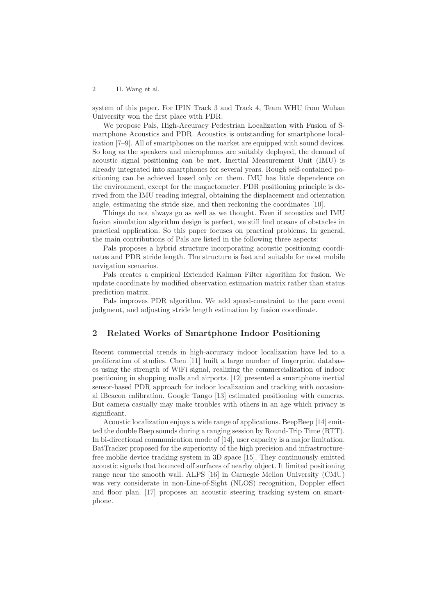system of this paper. For IPIN Track 3 and Track 4, Team WHU from Wuhan University won the first place with PDR.

We propose Pals, High-Accuracy Pedestrian Localization with Fusion of Smartphone Acoustics and PDR. Acoustics is outstanding for smartphone localization [7–9]. All of smartphones on the market are equipped with sound devices. So long as the speakers and microphones are suitably deployed, the demand of acoustic signal positioning can be met. Inertial Measurement Unit (IMU) is already integrated into smartphones for several years. Rough self-contained positioning can be achieved based only on them. IMU has little dependence on the environment, except for the magnetometer. PDR positioning principle is derived from the IMU reading integral, obtaining the displacement and orientation angle, estimating the stride size, and then reckoning the coordinates [10].

Things do not always go as well as we thought. Even if acoustics and IMU fusion simulation algorithm design is perfect, we still find oceans of obstacles in practical application. So this paper focuses on practical problems. In general, the main contributions of Pals are listed in the following three aspects:

Pals proposes a hybrid structure incorporating acoustic positioning coordinates and PDR stride length. The structure is fast and suitable for most mobile navigation scenarios.

Pals creates a empirical Extended Kalman Filter algorithm for fusion. We update coordinate by modified observation estimation matrix rather than status prediction matrix.

Pals improves PDR algorithm. We add speed-constraint to the pace event judgment, and adjusting stride length estimation by fusion coordinate.

## **2 Related Works of Smartphone Indoor Positioning**

Recent commercial trends in high-accuracy indoor localization have led to a proliferation of studies. Chen [11] built a large number of fingerprint databases using the strength of WiFi signal, realizing the commercialization of indoor positioning in shopping malls and airports. [12] presented a smartphone inertial sensor-based PDR approach for indoor localization and tracking with occasional iBeacon calibration. Google Tango [13] estimated positioning with cameras. But camera casually may make troubles with others in an age which privacy is significant.

Acoustic localization enjoys a wide range of applications. BeepBeep [14] emitted the double Beep sounds during a ranging session by Round-Trip Time (RTT). In bi-directional communication mode of [14], user capacity is a major limitation. BatTracker proposed for the superiority of the high precision and infrastructurefree moblie device tracking system in 3D space [15]. They continuously emitted acoustic signals that bounced off surfaces of nearby object. It limited positioning range near the smooth wall. ALPS [16] in Carnegie Mellon University (CMU) was very considerate in non-Line-of-Sight (NLOS) recognition, Doppler effect and floor plan. [17] proposes an acoustic steering tracking system on smartphone.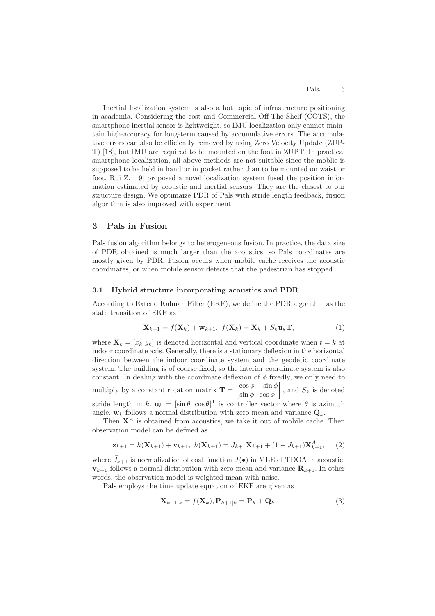Inertial localization system is also a hot topic of infrastructure positioning in academia. Considering the cost and Commercial Off-The-Shelf (COTS), the smartphone inertial sensor is lightweight, so IMU localization only cannot maintain high-accuracy for long-term caused by accumulative errors. The accumulative errors can also be efficiently removed by using Zero Velocity Update (ZUP-T) [18], but IMU are required to be mounted on the foot in ZUPT. In practical smartphone localization, all above methods are not suitable since the moblie is supposed to be held in hand or in pocket rather than to be mounted on waist or foot. Rui Z. [19] proposed a novel localization system fused the position information estimated by acoustic and inertial sensors. They are the closest to our structure design. We optimaize PDR of Pals with stride length feedback, fusion algorithm is also improved with experiment.

## **3 Pals in Fusion**

Pals fusion algorithm belongs to heterogeneous fusion. In practice, the data size of PDR obtained is much larger than the acoustics, so Pals coordinates are mostly given by PDR. Fusion occurs when mobile cache receives the acoustic coordinates, or when mobile sensor detects that the pedestrian has stopped.

#### **3.1 Hybrid structure incorporating acoustics and PDR**

According to Extend Kalman Filter (EKF), we define the PDR algorithm as the state transition of EKF as

$$
\mathbf{X}_{k+1} = f(\mathbf{X}_k) + \mathbf{w}_{k+1}, \ f(\mathbf{X}_k) = \mathbf{X}_k + S_k \mathbf{u}_k \mathbf{T}, \tag{1}
$$

where  $\mathbf{X}_k = [x_k, y_k]$  is denoted horizontal and vertical coordinate when  $t = k$  at indoor coordinate axis. Generally, there is a stationary deflexion in the horizontal direction between the indoor coordinate system and the geodetic coordinate system. The building is of course fixed, so the interior coordinate system is also constant. In dealing with the coordinate deflexion of  $\phi$  fixedly, we only need to multiply by a constant rotation matrix  $\mathbf{T} = \begin{bmatrix} \cos \phi - \sin \phi \\ \sin \phi & \cos \phi \end{bmatrix}$  $\sin \phi \cos \phi$  $\left[ \right]$ , and  $S_k$  is denoted stride length in k.  $\mathbf{u}_k = [\sin \theta \cos \theta]^T$  is controller vector where  $\theta$  is azimuth angle.  $w_k$  follows a normal distribution with zero mean and variance  $Q_k$ .

Then  $X^A$  is obtained from acoustics, we take it out of mobile cache. Then observation model can be defined as

$$
\mathbf{z}_{k+1} = h(\mathbf{X}_{k+1}) + \mathbf{v}_{k+1}, \ h(\mathbf{X}_{k+1}) = \bar{J}_{k+1}\mathbf{X}_{k+1} + (1 - \bar{J}_{k+1})\mathbf{X}_{k+1}^A, \tag{2}
$$

where  $\bar{J}_{k+1}$  is normalization of cost function  $J(\bullet)$  in MLE of TDOA in acoustic.  $\mathbf{v}_{k+1}$  follows a normal distribution with zero mean and variance  $\mathbf{R}_{k+1}$ . In other words, the observation model is weighted mean with noise.

Pals employs the time update equation of EKF are given as

$$
\mathbf{X}_{k+1|k} = f(\mathbf{X}_k), \mathbf{P}_{k+1|k} = \mathbf{P}_k + \mathbf{Q}_k, \tag{3}
$$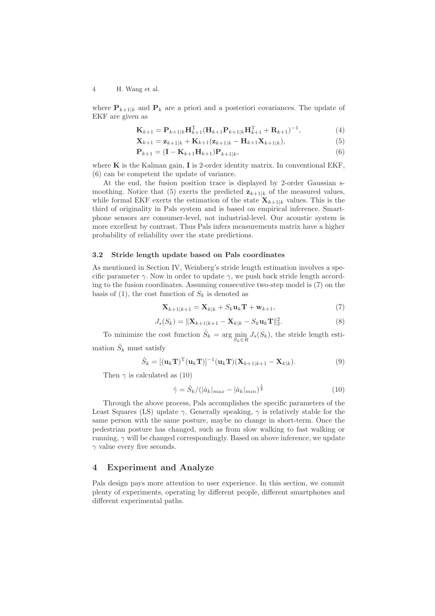where  $P_{k+1|k}$  and  $P_k$  are a priori and a posteriori covariances. The update of EKF are given as

$$
\mathbf{K}_{k+1} = \mathbf{P}_{k+1|k} \mathbf{H}_{k+1}^{\mathrm{T}} (\mathbf{H}_{k+1} \mathbf{P}_{k+1|k} \mathbf{H}_{k+1}^{\mathrm{T}} + \mathbf{R}_{k+1})^{-1},
$$
(4)

$$
\mathbf{X}_{k+1} = \mathbf{z}_{k+1|k} + \mathbf{K}_{k+1}(\mathbf{z}_{k+1|k} - \mathbf{H}_{k+1}\mathbf{X}_{k+1|k}),
$$
\n(5)

$$
\mathbf{P}_{k+1} = (\mathbf{I} - \mathbf{K}_{k+1} \mathbf{H}_{k+1}) \mathbf{P}_{k+1|k},\tag{6}
$$

where **K** is the Kalman gain, **I** is 2-order identity matrix. In conventional EKF, (6) can be competent the update of variance.

At the end, the fusion position trace is displayed by 2-order Gaussian smoothing. Notice that (5) exerts the predicted  $\mathbf{z}_{k+1|k}$  of the measured values, while formal EKF exerts the estimation of the state  $\mathbf{X}_{k+1|k}$  values. This is the third of originality in Pals system and is based on empirical inference. Smartphone sensors are consumer-level, not industrial-level. Our acoustic system is more excellent by contrast. Thus Pals infers measurements matrix have a higher probability of reliability over the state predictions.

## **3.2 Stride length update based on Pals coordinates**

As mentioned in Section IV, Weinberg's stride length estimation involves a specific parameter  $\gamma$ . Now in order to update  $\gamma$ , we push back stride length according to the fusion coordinates. Assuming consecutive two-step model is (7) on the basis of (1), the cost function of  $S_k$  is denoted as

$$
\mathbf{X}_{k+1|k+1} = \mathbf{X}_{k|k} + S_k \mathbf{u}_k \mathbf{T} + \mathbf{w}_{k+1},\tag{7}
$$

$$
J_s(S_k) = \|\mathbf{X}_{k+1|k+1} - \mathbf{X}_{k|k} - S_k \mathbf{u}_k \mathbf{T}\|_2^2.
$$
 (8)

To minimize the cost function  $\hat{S}_k = \arg \min_{S_k \in R} J_s(S_k)$ , the stride length estimation  $\hat{S}_k$  must satisfy

$$
\hat{S}_k = [(\mathbf{u}_k \mathbf{T})^{\mathrm{T}} (\mathbf{u}_k \mathbf{T})]^{-1} (\mathbf{u}_k \mathbf{T}) (\mathbf{X}_{k+1|k+1} - \mathbf{X}_{k|k}). \tag{9}
$$

Then  $\gamma$  is calculated as (10)

$$
\hat{\gamma} = \hat{S}_k / (|\hat{a}_k|_{max} - |\hat{a}_k|_{min})^{\frac{1}{4}}
$$
\n(10)

Through the above process, Pals accomplishes the specific parameters of the Least Squares (LS) update  $\gamma$ . Generally speaking,  $\gamma$  is relatively stable for the same person with the same posture, maybe no change in short-term. Once the pedestrian posture has changed, such as from slow walking to fast walking or running,  $\gamma$  will be changed correspondingly. Based on above inference, we update  $\gamma$  value every five seconds.

## **4 Experiment and Analyze**

Pals design pays more attention to user experience. In this section, we commit plenty of experiments, operating by different people, different smartphones and different experimental paths.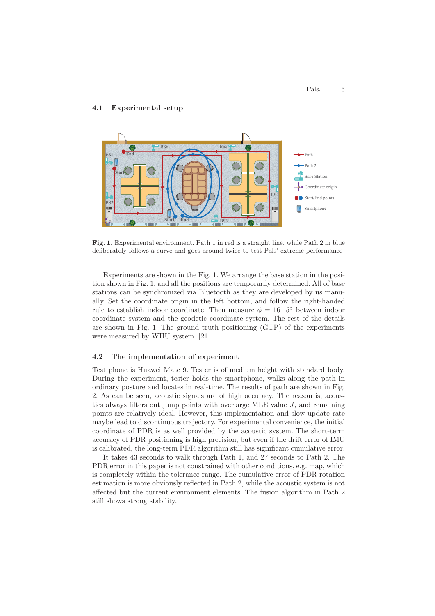## **4.1 Experimental setup**



**Fig. 1.** Experimental environment. Path 1 in red is a straight line, while Path 2 in blue deliberately follows a curve and goes around twice to test Pals' extreme performance

Experiments are shown in the Fig. 1. We arrange the base station in the position shown in Fig. 1, and all the positions are temporarily determined. All of base stations can be synchronized via Bluetooth as they are developed by us manually. Set the coordinate origin in the left bottom, and follow the right-handed rule to establish indoor coordinate. Then measure  $\phi = 161.5^{\circ}$  between indoor coordinate system and the geodetic coordinate system. The rest of the details are shown in Fig. 1. The ground truth positioning (GTP) of the experiments were measured by WHU system. [21]

## **4.2 The implementation of experiment**

Test phone is Huawei Mate 9. Tester is of medium height with standard body. During the experiment, tester holds the smartphone, walks along the path in ordinary posture and locates in real-time. The results of path are shown in Fig. 2. As can be seen, acoustic signals are of high accuracy. The reason is, acoustics always filters out jump points with overlarge MLE value J, and remaining points are relatively ideal. However, this implementation and slow update rate maybe lead to discontinuous trajectory. For experimental convenience, the initial coordinate of PDR is as well provided by the acoustic system. The short-term accuracy of PDR positioning is high precision, but even if the drift error of IMU is calibrated, the long-term PDR algorithm still has significant cumulative error.

It takes 43 seconds to walk through Path 1, and 27 seconds to Path 2. The PDR error in this paper is not constrained with other conditions, e.g. map, which is completely within the tolerance range. The cumulative error of PDR rotation estimation is more obviously reflected in Path 2, while the acoustic system is not affected but the current environment elements. The fusion algorithm in Path 2 still shows strong stability.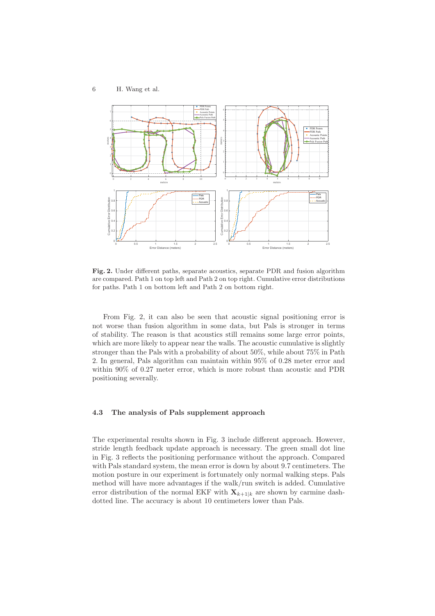

**Fig. 2.** Under different paths, separate acoustics, separate PDR and fusion algorithm are compared. Path 1 on top left and Path 2 on top right. Cumulative error distributions for paths. Path 1 on bottom left and Path 2 on bottom right.

From Fig. 2, it can also be seen that acoustic signal positioning error is not worse than fusion algorithm in some data, but Pals is stronger in terms of stability. The reason is that acoustics still remains some large error points, which are more likely to appear near the walls. The acoustic cumulative is slightly stronger than the Pals with a probability of about 50%, while about 75% in Path 2. In general, Pals algorithm can maintain within 95% of 0.28 meter error and within 90% of 0.27 meter error, which is more robust than acoustic and PDR positioning severally.

## **4.3 The analysis of Pals supplement approach**

The experimental results shown in Fig. 3 include different approach. However, stride length feedback update approach is necessary. The green small dot line in Fig. 3 reflects the positioning performance without the approach. Compared with Pals standard system, the mean error is down by about 9.7 centimeters. The motion posture in our experiment is fortunately only normal walking steps. Pals method will have more advantages if the walk/run switch is added. Cumulative error distribution of the normal EKF with  $\mathbf{X}_{k+1|k}$  are shown by carmine dashdotted line. The accuracy is about 10 centimeters lower than Pals.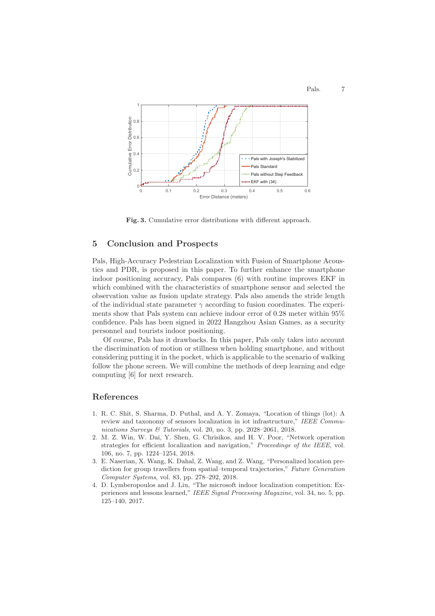

**Fig. 3.** Cumulative error distributions with different approach.

## **5 Conclusion and Prospects**

Pals, High-Accuracy Pedestrian Localization with Fusion of Smartphone Acoustics and PDR, is proposed in this paper. To further enhance the smartphone indoor positioning accuracy, Pals compares (6) with routine improves EKF in which combined with the characteristics of smartphone sensor and selected the observation value as fusion update strategy. Pals also amends the stride length of the individual state parameter  $\gamma$  according to fusion coordinates. The experiments show that Pals system can achieve indoor error of 0.28 meter within 95% confidence. Pals has been signed in 2022 Hangzhou Asian Games, as a security personnel and tourists indoor positioning.

Of course, Pals has it drawbacks. In this paper, Pals only takes into account the discrimination of motion or stillness when holding smartphone, and without considering putting it in the pocket, which is applicable to the scenario of walking follow the phone screen. We will combine the methods of deep learning and edge computing [6] for next research.

# **References**

- 1. R. C. Shit, S. Sharma, D. Puthal, and A. Y. Zomaya, "Location of things (lot): A review and taxonomy of sensors localization in iot infrastructure," IEEE Communications Surveys & Tutorials, vol. 20, no. 3, pp. 2028–2061, 2018.
- 2. M. Z. Win, W. Dai, Y. Shen, G. Chrisikos, and H. V. Poor, "Network operation strategies for efficient localization and navigation," Proceedings of the IEEE, vol. 106, no. 7, pp. 1224–1254, 2018.
- 3. E. Naserian, X. Wang, K. Dahal, Z. Wang, and Z. Wang, "Personalized location prediction for group travellers from spatial–temporal trajectories," Future Generation Computer Systems, vol. 83, pp. 278–292, 2018.
- 4. D. Lymberopoulos and J. Liu, "The microsoft indoor localization competition: Experiences and lessons learned," IEEE Signal Processing Magazine, vol. 34, no. 5, pp. 125–140, 2017.

Pals. 7